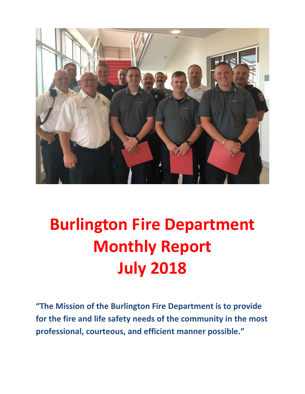

# **Burlington Fire Department Monthly Report July 2018**

**"The Mission of the Burlington Fire Department is to provide for the fire and life safety needs of the community in the most professional, courteous, and efficient manner possible."**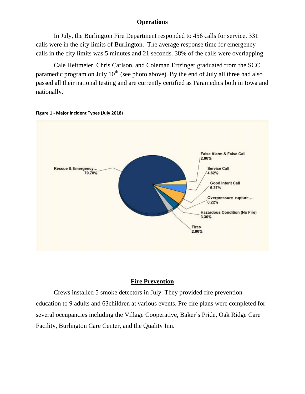### **Operations**

In July, the Burlington Fire Department responded to 456 calls for service. 331 calls were in the city limits of Burlington. The average response time for emergency calls in the city limits was 5 minutes and 21 seconds. 38% of the calls were overlapping.

Cale Heitmeier, Chris Carlson, and Coleman Ertzinger graduated from the SCC paramedic program on July  $10<sup>th</sup>$  (see photo above). By the end of July all three had also passed all their national testing and are currently certified as Paramedics both in Iowa and nationally.





### **Fire Prevention**

Crews installed 5 smoke detectors in July. They provided fire prevention education to 9 adults and 63children at various events. Pre-fire plans were completed for several occupancies including the Village Cooperative, Baker's Pride, Oak Ridge Care Facility, Burlington Care Center, and the Quality Inn.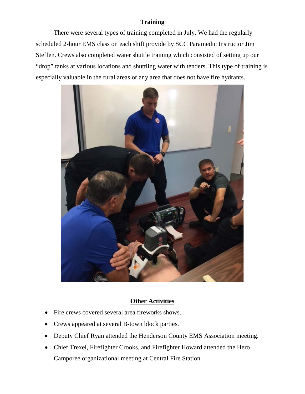### **Training**

There were several types of training completed in July. We had the regularly scheduled 2-hour EMS class on each shift provide by SCC Paramedic Instructor Jim Steffen. Crews also completed water shuttle training which consisted of setting up our "drop" tanks at various locations and shuttling water with tenders. This type of training is especially valuable in the rural areas or any area that does not have fire hydrants.



### **Other Activities**

- Fire crews covered several area fireworks shows.
- Crews appeared at several B-town block parties.
- Deputy Chief Ryan attended the Henderson County EMS Association meeting.
- Chief Trexel, Firefighter Crooks, and Firefighter Howard attended the Hero Camporee organizational meeting at Central Fire Station.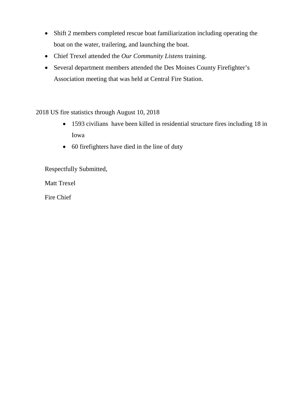- Shift 2 members completed rescue boat familiarization including operating the boat on the water, trailering, and launching the boat.
- Chief Trexel attended the *Our Community Listens* training.
- Several department members attended the Des Moines County Firefighter's Association meeting that was held at Central Fire Station.

2018 US fire statistics through August 10, 2018

- 1593 civilians have been killed in residential structure fires including 18 in Iowa
- 60 firefighters have died in the line of duty

Respectfully Submitted,

Matt Trexel

Fire Chief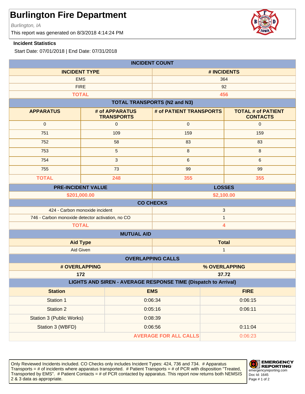Burlington, IA

This report was generated on 8/3/2018 4:14:24 PM

#### **Incident Statistics**

Start Date: 07/01/2018 | End Date: 07/31/2018

| <b>INCIDENT COUNT</b>                                          |                                     |                                     |                                              |  |
|----------------------------------------------------------------|-------------------------------------|-------------------------------------|----------------------------------------------|--|
| <b>INCIDENT TYPE</b>                                           |                                     | # INCIDENTS                         |                                              |  |
| <b>EMS</b>                                                     |                                     |                                     | 364                                          |  |
| <b>FIRE</b>                                                    |                                     |                                     | 92                                           |  |
| <b>TOTAL</b>                                                   |                                     |                                     | 456                                          |  |
|                                                                |                                     | <b>TOTAL TRANSPORTS (N2 and N3)</b> |                                              |  |
| <b>APPARATUS</b>                                               | # of APPARATUS<br><b>TRANSPORTS</b> | # of PATIENT TRANSPORTS             | <b>TOTAL # of PATIENT</b><br><b>CONTACTS</b> |  |
| $\mathbf 0$                                                    | $\mathbf 0$                         | $\mathbf 0$                         | $\mathbf{0}$                                 |  |
| 751                                                            | 109                                 | 159                                 | 159                                          |  |
| 752                                                            | 58                                  | 83                                  | 83                                           |  |
| 753                                                            | 5                                   | $\,8\,$                             | 8                                            |  |
| 754                                                            | 3                                   | $\,6\,$                             | $6\phantom{1}$                               |  |
| 755                                                            | 73                                  | 99                                  | 99                                           |  |
| <b>TOTAL</b>                                                   | 248                                 | 355                                 | 355                                          |  |
| <b>PRE-INCIDENT VALUE</b>                                      |                                     |                                     | <b>LOSSES</b>                                |  |
|                                                                | \$201,000.00                        | \$2,100.00                          |                                              |  |
|                                                                |                                     | <b>CO CHECKS</b>                    |                                              |  |
| 424 - Carbon monoxide incident<br>$\sqrt{3}$                   |                                     |                                     |                                              |  |
| 746 - Carbon monoxide detector activation, no CO               |                                     | $\mathbf{1}$                        |                                              |  |
| <b>TOTAL</b><br>$\overline{\mathbf{4}}$                        |                                     |                                     |                                              |  |
| <b>MUTUAL AID</b>                                              |                                     |                                     |                                              |  |
| <b>Aid Type</b>                                                |                                     | <b>Total</b>                        |                                              |  |
| Aid Given<br>$\mathbf{1}$                                      |                                     |                                     |                                              |  |
| <b>OVERLAPPING CALLS</b>                                       |                                     |                                     |                                              |  |
| # OVERLAPPING                                                  |                                     | % OVERLAPPING                       |                                              |  |
| 172<br>37.72                                                   |                                     |                                     |                                              |  |
| LIGHTS AND SIREN - AVERAGE RESPONSE TIME (Dispatch to Arrival) |                                     |                                     |                                              |  |
| <b>Station</b>                                                 |                                     | <b>EMS</b>                          | <b>FIRE</b>                                  |  |
| Station 1                                                      |                                     | 0:06:34                             | 0:06:15                                      |  |
| <b>Station 2</b>                                               |                                     | 0:05:16                             | 0:06:11                                      |  |
| <b>Station 3 (Public Works)</b>                                |                                     | 0:08:39                             |                                              |  |
| Station 3 (WBFD)                                               | 0:06:56                             |                                     | 0:11:04                                      |  |
| <b>AVERAGE FOR ALL CALLS</b><br>0:06:23                        |                                     |                                     |                                              |  |

Only Reviewed Incidents included. CO Checks only includes Incident Types: 424, 736 and 734. # Apparatus Transports = # of incidents where apparatus transported. # Patient Transports = # of PCR with disposition "Treated, Transported by EMS". # Patient Contacts = # of PCR contacted by apparatus. This report now returns both NEMSIS 2 & 3 data as appropriate. The set of 2 set of 2 set of 2 set of 2 set of 2 set of 2 set of 2 set of 2 set of 2



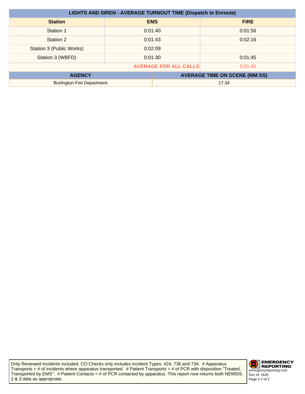| <b>LIGHTS AND SIREN - AVERAGE TURNOUT TIME (Dispatch to Enroute)</b> |         |            |                                      |
|----------------------------------------------------------------------|---------|------------|--------------------------------------|
| <b>Station</b>                                                       |         | <b>EMS</b> | <b>FIRE</b>                          |
| Station 1                                                            | 0:01:40 |            | 0:01:56                              |
| Station 2                                                            |         | 0:01:43    | 0:02:16                              |
| Station 3 (Public Works)                                             | 0:02:09 |            |                                      |
| Station 3 (WBFD)                                                     | 0:01:30 |            | 0:01:45                              |
| <b>AVERAGE FOR ALL CALLS</b><br>0:01:45                              |         |            |                                      |
| <b>AGENCY</b>                                                        |         |            | <b>AVERAGE TIME ON SCENE (MM:SS)</b> |
| <b>Burlington Fire Department</b>                                    |         | 17:34      |                                      |

Only Reviewed Incidents included. CO Checks only includes Incident Types: 424, 736 and 734. # Apparatus Transports = # of incidents where apparatus transported. # Patient Transports = # of PCR with disposition "Treated, Transported by EMS". # Patient Contacts = # of PCR contacted by apparatus. This report now returns both NEMSIS 2 & 3 data as appropriate.

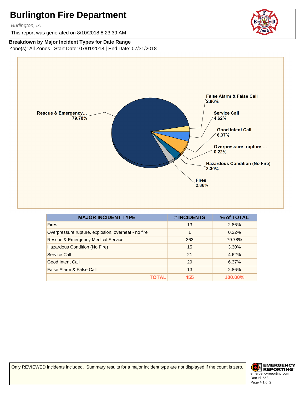Burlington, IA

This report was generated on 8/10/2018 8:23:39 AM

#### **Breakdown by Major Incident Types for Date Range**

Zone(s): All Zones | Start Date: 07/01/2018 | End Date: 07/31/2018



| <b>MAJOR INCIDENT TYPE</b>                          | # INCIDENTS | % of TOTAL |
|-----------------------------------------------------|-------------|------------|
| <b>Fires</b>                                        | 13          | 2.86%      |
| Overpressure rupture, explosion, overheat - no fire | 1           | 0.22%      |
| <b>Rescue &amp; Emergency Medical Service</b>       | 363         | 79.78%     |
| Hazardous Condition (No Fire)                       | 15          | 3.30%      |
| Service Call                                        | 21          | 4.62%      |
| Good Intent Call                                    | 29          | 6.37%      |
| False Alarm & False Call                            | 13          | 2.86%      |
|                                                     | 455         | 100.00%    |

Only REVIEWED incidents included. Summary results for a major incident type are not displayed if the count is zero.

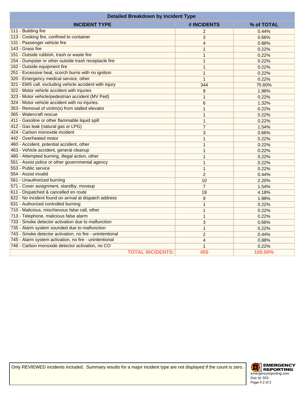| <b>Detailed Breakdown by Incident Type</b>               |                |            |
|----------------------------------------------------------|----------------|------------|
| <b>INCIDENT TYPE</b>                                     | # INCIDENTS    | % of TOTAL |
| 111 - Building fire                                      | $\overline{2}$ | 0.44%      |
| 113 - Cooking fire, confined to container                | 3              | 0.66%      |
| 131 - Passenger vehicle fire                             | $\overline{4}$ | 0.88%      |
| 143 - Grass fire                                         | $\mathbf{1}$   | 0.22%      |
| 151 - Outside rubbish, trash or waste fire               | $\mathbf{1}$   | 0.22%      |
| 154 - Dumpster or other outside trash receptacle fire    | $\mathbf{1}$   | 0.22%      |
| 162 - Outside equipment fire                             | $\mathbf{1}$   | 0.22%      |
| 251 - Excessive heat, scorch burns with no ignition      | $\mathbf{1}$   | 0.22%      |
| 320 - Emergency medical service, other                   | $\mathbf{1}$   | 0.22%      |
| 321 - EMS call, excluding vehicle accident with injury   | 344            | 75.60%     |
| 322 - Motor vehicle accident with injuries               | 9              | 1.98%      |
| 323 - Motor vehicle/pedestrian accident (MV Ped)         | $\mathbf{1}$   | 0.22%      |
| 324 - Motor vehicle accident with no injuries.           | 6              | 1.32%      |
| 353 - Removal of victim(s) from stalled elevator         | $\mathbf{1}$   | 0.22%      |
| 365 - Watercraft rescue                                  | $\mathbf{1}$   | 0.22%      |
| 411 - Gasoline or other flammable liquid spill           | $\mathbf{1}$   | 0.22%      |
| 412 - Gas leak (natural gas or LPG)                      | $\overline{7}$ | 1.54%      |
| 424 - Carbon monoxide incident                           | 3              | 0.66%      |
| 442 - Overheated motor                                   | $\mathbf{1}$   | 0.22%      |
| 460 - Accident, potential accident, other                | $\mathbf{1}$   | 0.22%      |
| 463 - Vehicle accident, general cleanup                  | $\mathbf{1}$   | 0.22%      |
| 480 - Attempted burning, illegal action, other           | $\mathbf{1}$   | 0.22%      |
| 551 - Assist police or other governmental agency         | $\mathbf{1}$   | 0.22%      |
| 553 - Public service                                     | $\mathbf{1}$   | 0.22%      |
| 554 - Assist invalid                                     | $\overline{c}$ | 0.44%      |
| 561 - Unauthorized burning                               | 10             | 2.20%      |
| 571 - Cover assignment, standby, moveup                  | $\overline{7}$ | 1.54%      |
| 611 - Dispatched & cancelled en route                    | 19             | 4.18%      |
| 622 - No incident found on arrival at dispatch address   | 9              | 1.98%      |
| 631 - Authorized controlled burning                      | $\mathbf{1}$   | 0.22%      |
| 710 - Malicious, mischievous false call, other           | $\mathbf{1}$   | 0.22%      |
| 713 - Telephone, malicious false alarm                   | $\mathbf{1}$   | 0.22%      |
| 733 - Smoke detector activation due to malfunction       | 3              | 0.66%      |
| 735 - Alarm system sounded due to malfunction            | $\mathbf{1}$   | 0.22%      |
| 743 - Smoke detector activation, no fire - unintentional | $\overline{2}$ | 0.44%      |
| 745 - Alarm system activation, no fire - unintentional   | $\overline{4}$ | 0.88%      |
| 746 - Carbon monoxide detector activation, no CO         | $\mathbf{1}$   | 0.22%      |
| <b>TOTAL INCIDENTS:</b>                                  | 455            | 100.00%    |

Only REVIEWED incidents included. Summary results for a major incident type are not displayed if the count is zero.

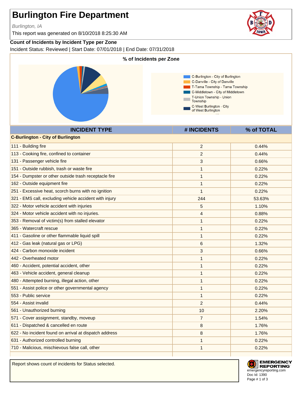Burlington, IA

This report was generated on 8/10/2018 8:25:30 AM

#### **Count of Incidents by Incident Type per Zone**

Incident Status: Reviewed | Start Date: 07/01/2018 | End Date: 07/31/2018



Report shows count of incidents for Status selected.



**EMERGENCY REPORTING** emergencyreporting.com Doc Id: 1390 Page # 1 of 3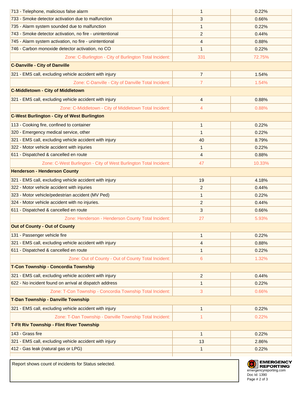| 713 - Telephone, malicious false alarm                            | 1              | 0.22%  |
|-------------------------------------------------------------------|----------------|--------|
| 733 - Smoke detector activation due to malfunction                | 3              | 0.66%  |
| 735 - Alarm system sounded due to malfunction                     | 1              | 0.22%  |
| 743 - Smoke detector activation, no fire - unintentional          | $\overline{2}$ | 0.44%  |
| 745 - Alarm system activation, no fire - unintentional            | 4              | 0.88%  |
| 746 - Carbon monoxide detector activation, no CO                  | $\mathbf{1}$   | 0.22%  |
| Zone: C-Burlington - City of Burlington Total Incident:           | 331            | 72.75% |
| <b>C-Danville - City of Danville</b>                              |                |        |
| 321 - EMS call, excluding vehicle accident with injury            | $\overline{7}$ | 1.54%  |
| Zone: C-Danville - City of Danville Total Incident:               | $\overline{7}$ | 1.54%  |
| <b>C-Middletown - City of Middletown</b>                          |                |        |
| 321 - EMS call, excluding vehicle accident with injury            | 4              | 0.88%  |
| Zone: C-Middletown - City of Middletown Total Incident:           | 4              | 0.88%  |
| <b>C-West Burlington - City of West Burlington</b>                |                |        |
| 113 - Cooking fire, confined to container                         | 1              | 0.22%  |
| 320 - Emergency medical service, other                            | $\mathbf{1}$   | 0.22%  |
| 321 - EMS call, excluding vehicle accident with injury            | 40             | 8.79%  |
| 322 - Motor vehicle accident with injuries                        | $\mathbf{1}$   | 0.22%  |
| 611 - Dispatched & cancelled en route                             | 4              | 0.88%  |
| Zone: C-West Burlington - City of West Burlington Total Incident: | 47             | 10.33% |
| <b>Henderson - Henderson County</b>                               |                |        |
| 321 - EMS call, excluding vehicle accident with injury            | 19             | 4.18%  |
| 322 - Motor vehicle accident with injuries                        | $\overline{c}$ | 0.44%  |
| 323 - Motor vehicle/pedestrian accident (MV Ped)                  | $\mathbf{1}$   | 0.22%  |
| 324 - Motor vehicle accident with no injuries.                    | 2              | 0.44%  |
| 611 - Dispatched & cancelled en route                             | 3              | 0.66%  |
| Zone: Henderson - Henderson County Total Incident:                | 27             | 5.93%  |
| <b>Out of County - Out of County</b>                              |                |        |
| 131 - Passenger vehicle fire                                      | 1              | 0.22%  |
| 321 - EMS call, excluding vehicle accident with injury            | 4              | 0.88%  |
| 611 - Dispatched & cancelled en route                             | 1              | 0.22%  |
| Zone: Out of County - Out of County Total Incident:               | 6              | 1.32%  |
| T-Con Township - Concordia Township                               |                |        |
| 321 - EMS call, excluding vehicle accident with injury            | $\overline{c}$ | 0.44%  |
| 622 - No incident found on arrival at dispatch address            | 1              | 0.22%  |
| Zone: T-Con Township - Concordia Township Total Incident:         | 3              | 0.66%  |
| T-Dan Township - Danville Township                                |                |        |
| 321 - EMS call, excluding vehicle accident with injury            | $\mathbf{1}$   | 0.22%  |
| Zone: T-Dan Township - Danville Township Total Incident:          | 1              | 0.22%  |
| T-Flt Riv Township - Flint River Township                         |                |        |
| 143 - Grass fire                                                  | $\mathbf{1}$   | 0.22%  |
| 321 - EMS call, excluding vehicle accident with injury            | 13             | 2.86%  |
| 412 - Gas leak (natural gas or LPG)                               | 1              | 0.22%  |
|                                                                   |                |        |

Report shows count of incidents for Status selected.

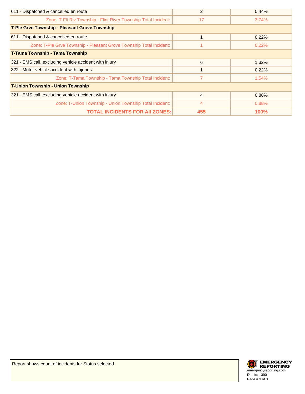| 611 - Dispatched & cancelled en route                               | 2              | 0.44%       |
|---------------------------------------------------------------------|----------------|-------------|
| Zone: T-Flt Riv Township - Flint River Township Total Incident:     | 17             | 3.74%       |
| <b>T-Ple Grve Township - Pleasant Grove Township</b>                |                |             |
| 611 - Dispatched & cancelled en route                               |                | 0.22%       |
| Zone: T-Ple Grve Township - Pleasant Grove Township Total Incident: |                | 0.22%       |
| <b>T-Tama Township - Tama Township</b>                              |                |             |
| 321 - EMS call, excluding vehicle accident with injury              | 6              | 1.32%       |
| 322 - Motor vehicle accident with injuries                          |                | 0.22%       |
| Zone: T-Tama Township - Tama Township Total Incident:               |                | 1.54%       |
| <b>T-Union Township - Union Township</b>                            |                |             |
| 321 - EMS call, excluding vehicle accident with injury              | $\overline{4}$ | 0.88%       |
| Zone: T-Union Township - Union Township Total Incident:             | $\overline{4}$ | 0.88%       |
| <b>TOTAL INCIDENTS FOR AII ZONES:</b>                               | 455            | <b>100%</b> |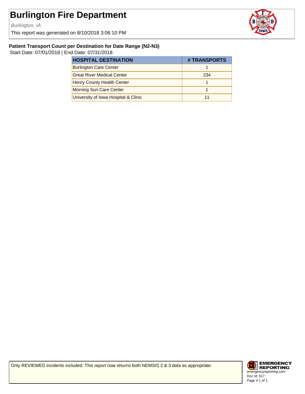Burlington, IA

This report was generated on 8/10/2018 3:06:10 PM



#### **Patient Transport Count per Destination for Date Range (N2-N3)**

Start Date: 07/01/2018 | End Date: 07/31/2018

| <b>HOSPITAL DESTINATION</b>          | # TRANSPORTS |
|--------------------------------------|--------------|
| <b>Burlington Care Center</b>        |              |
| <b>Great River Medical Center</b>    | 234          |
| <b>Henry County Health Center</b>    |              |
| Morning Sun Care Center              |              |
| University of Iowa Hospital & Clinic |              |

Only REVIEWED incidents included. This report now returns both NEMSIS 2 & 3 data as appropriate.

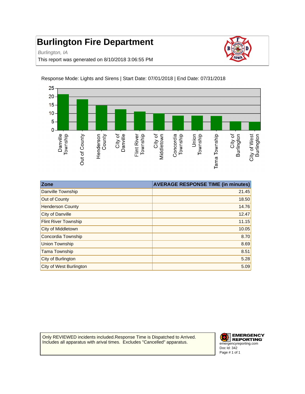Burlington, IA

This report was generated on 8/10/2018 3:06:55 PM





Response Mode: Lights and Sirens | Start Date: 07/01/2018 | End Date: 07/31/2018

| <b>Zone</b>                    | <b>AVERAGE RESPONSE TIME (in minutes)</b> |
|--------------------------------|-------------------------------------------|
| Danville Township              | 21.45                                     |
| Out of County                  | 18.50                                     |
| <b>Henderson County</b>        | 14.76                                     |
| City of Danville               | 12.47                                     |
| <b>Flint River Township</b>    | 11.15                                     |
| City of Middletown             | 10.05                                     |
| Concordia Township             | 8.70                                      |
| Union Township                 | 8.69                                      |
| <b>Tama Township</b>           | 8.51                                      |
| City of Burlington             | 5.28                                      |
| <b>City of West Burlington</b> | 5.09                                      |

Only REVIEWED incidents included.Response Time is Dispatched to Arrived. Includes all apparatus with arival times. Excludes "Cancelled" apparatus.

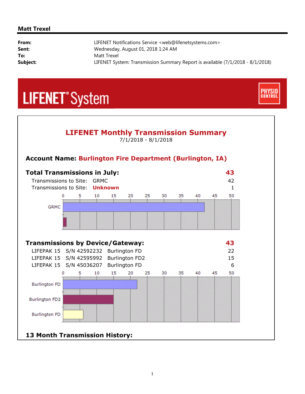#### **Matt Trexel**

| From:    | LIFENET Notifications Service <web@lifenetsystems.com></web@lifenetsystems.com> |
|----------|---------------------------------------------------------------------------------|
| Sent:    | Wednesday, August 01, 2018 1:24 AM                                              |
| To:      | Matt Trexel                                                                     |
| Subject: | LIFENET System: Transmission Summary Report is available (7/1/2018 - 8/1/2018)  |

**CONTROL** 

## **LIFENET**<sup>\*</sup>System